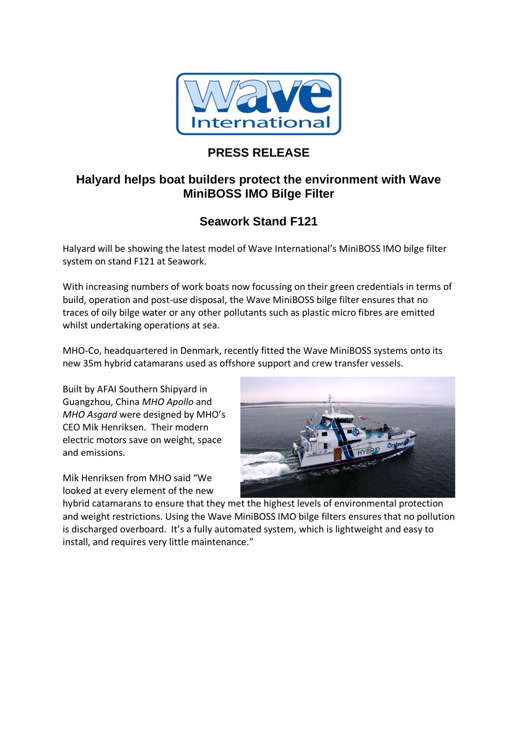

## **PRESS RELEASE**

## **Halyard helps boat builders protect the environment with Wave MiniBOSS IMO Bilge Filter**

## **Seawork Stand F121**

Halyard will be showing the latest model of Wave International's MiniBOSS IMO bilge filter system on stand F121 at Seawork.

With increasing numbers of work boats now focussing on their green credentials in terms of build, operation and post-use disposal, the Wave MiniBOSS bilge filter ensures that no traces of oily bilge water or any other pollutants such as plastic micro fibres are emitted whilst undertaking operations at sea.

MHO-Co, headquartered in Denmark, recently fitted the Wave MiniBOSS systems onto its new 35m hybrid catamarans used as offshore support and crew transfer vessels.

Built by AFAI Southern Shipyard in Guangzhou, China *MHO Apollo* and *MHO Asgard* were designed by MHO's CEO Mik Henriksen. Their modern electric motors save on weight, space and emissions.

Mik Henriksen from MHO said "We looked at every element of the new



hybrid catamarans to ensure that they met the highest levels of environmental protection and weight restrictions. Using the Wave MiniBOSS IMO bilge filters ensures that no pollution is discharged overboard. It's a fully automated system, which is lightweight and easy to install, and requires very little maintenance."